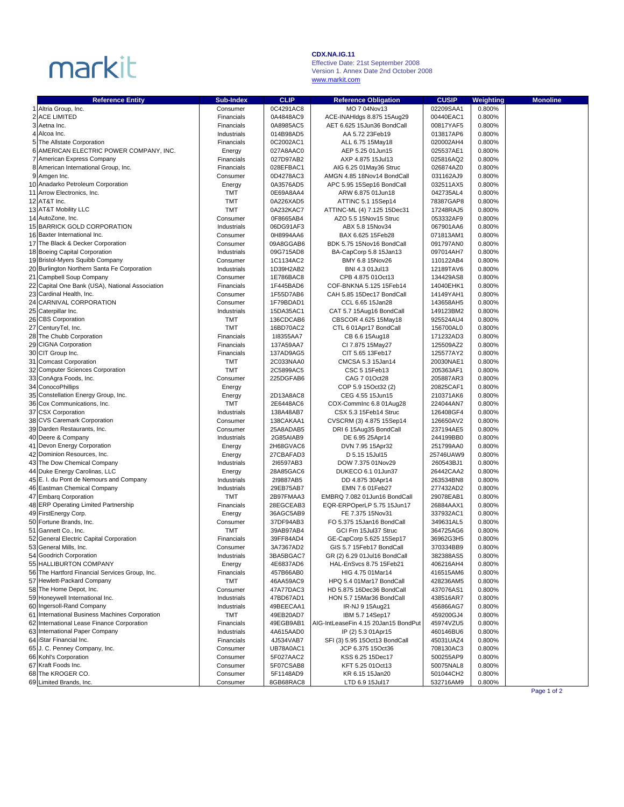## markit

## **CDX.NA.IG.11**

Effective Date: 21st September 2008 Version 1. Annex Date 2nd October 2008 www.markit.com

| <b>Reference Entity</b>                         | <b>Sub-Index</b> | <b>CLIP</b> | <b>Reference Obligation</b>          | <b>CUSIP</b> |           | <b>Monoline</b> |
|-------------------------------------------------|------------------|-------------|--------------------------------------|--------------|-----------|-----------------|
| 1 Altria Group, Inc.                            | Consumer         | 0C4291AC8   | MO 7 04Nov13                         | 02209SAA1    | Weighting |                 |
|                                                 |                  |             |                                      |              | 0.800%    |                 |
| 2 ACE LIMITED                                   | Financials       | 0A4848AC9   | ACE-INAHIdgs 8.875 15Aug29           | 00440EAC1    | 0.800%    |                 |
| 3 Aetna Inc.                                    | Financials       | 0A8985AC5   | AET 6.625 15Jun36 BondCall           | 00817YAF5    | 0.800%    |                 |
| 4 Alcoa Inc.                                    | Industrials      | 014B98AD5   | AA 5.72 23Feb19                      | 013817AP6    | 0.800%    |                 |
| 5 The Allstate Corporation                      | Financials       | 0C2002AC1   | ALL 6.75 15May18                     | 020002AH4    | 0.800%    |                 |
| 6 AMERICAN ELECTRIC POWER COMPANY, INC.         | Energy           | 027A8AAC0   | AEP 5.25 01 Jun 15                   | 025537AE1    | 0.800%    |                 |
| 7 American Express Company                      | Financials       | 027D97AB2   | AXP 4.875 15Jul13                    | 025816AQ2    | 0.800%    |                 |
| 8 American International Group, Inc.            | Financials       | 028EFBAC1   | AIG 6.25 01May36 Struc               | 026874AZ0    | 0.800%    |                 |
| 9 Amgen Inc.                                    | Consumer         | 0D4278AC3   | AMGN 4.85 18Nov14 BondCall           | 031162AJ9    | 0.800%    |                 |
| 10 Anadarko Petroleum Corporation               | Energy           | 0A3576AD5   | APC 5.95 15Sep16 BondCall            | 032511AX5    | 0.800%    |                 |
| 11 Arrow Electronics, Inc.                      | TMT              | 0E69A8AA4   | ARW 6.875 01 Jun 18                  | 042735AL4    | 0.800%    |                 |
| 12 AT&T Inc.                                    | <b>TMT</b>       | 0A226XAD5   | ATTINC 5.1 15Sep14                   | 78387GAP8    | 0.800%    |                 |
| 13 AT&T Mobility LLC                            | <b>TMT</b>       | 0A232KAC7   | ATTINC-ML (4) 7.125 15Dec31          | 17248RAJ5    | 0.800%    |                 |
| 14 AutoZone, Inc.                               | Consumer         | 0F8665AB4   | AZO 5.5 15Nov15 Struc                | 053332AF9    | 0.800%    |                 |
| 15 BARRICK GOLD CORPORATION                     | Industrials      | 06DG91AF3   | ABX 5.8 15Nov34                      | 067901AA6    | 0.800%    |                 |
| 16 Baxter International Inc.                    | Consumer         | 0H8994AA6   | BAX 6.625 15Feb28                    | 071813AM1    | 0.800%    |                 |
| 17 The Black & Decker Corporation               | Consumer         | 09A8GGAB6   | BDK 5.75 15Nov16 BondCall            | 091797AN0    | 0.800%    |                 |
| 18 Boeing Capital Corporation                   | Industrials      | 09G715AD8   | BA-CapCorp 5.8 15Jan13               | 097014AH7    | 0.800%    |                 |
| 19 Bristol-Myers Squibb Company                 | Consumer         | 1C1134AC2   | BMY 6.8 15Nov26                      | 110122AB4    | 0.800%    |                 |
| 20 Burlington Northern Santa Fe Corporation     | Industrials      | 1D39H2AB2   | BNI 4.3 01Jul13                      | 12189TAV6    | 0.800%    |                 |
| 21 Campbell Soup Company                        | Consumer         | 1E786BAC8   | CPB 4.875 01Oct13                    | 134429AS8    | 0.800%    |                 |
| 22 Capital One Bank (USA), National Association | Financials       | 1F445BAD6   | COF-BNKNA 5.125 15Feb14              | 14040EHK1    | 0.800%    |                 |
| 23 Cardinal Health, Inc.                        | Consumer         | 1F55D7AB6   | CAH 5.85 15Dec17 BondCall            | 14149YAH1    | 0.800%    |                 |
| 24 CARNIVAL CORPORATION                         | Consumer         | 1F79BDAD1   | CCL 6.65 15Jan28                     | 143658AH5    | 0.800%    |                 |
| 25 Caterpillar Inc.                             | Industrials      | 15DA35AC1   | CAT 5.7 15Aug16 BondCall             | 149123BM2    | 0.800%    |                 |
| 26 CBS Corporation                              | <b>TMT</b>       | 136CDCAB6   | CBSCOR 4.625 15May18                 | 925524AU4    | 0.800%    |                 |
| 27 CenturyTel, Inc.                             | <b>TMT</b>       | 16BD70AC2   | CTL 6 01Apr17 BondCall               | 156700AL0    | 0.800%    |                 |
| 28 The Chubb Corporation                        | Financials       | 118355AA7   | CB 6.6 15Aug18                       | 171232AD3    | 0.800%    |                 |
| 29 CIGNA Corporation                            | Financials       | 137A59AA7   | CI 7.875 15May27                     | 125509AZ2    | 0.800%    |                 |
| 30 CIT Group Inc.                               | Financials       | 137AD9AG5   | CIT 5.65 13Feb17                     | 125577AY2    | 0.800%    |                 |
| 31 Comcast Corporation                          | <b>TMT</b>       | 2C033NAA0   | CMCSA 5.3 15Jan14                    | 20030NAE1    | 0.800%    |                 |
| 32 Computer Sciences Corporation                | <b>TMT</b>       | 2C5899AC5   | CSC 5 15Feb13                        | 205363AF1    | 0.800%    |                 |
| 33 ConAgra Foods, Inc.                          | Consumer         | 225DGFAB6   | CAG 7 01Oct28                        | 205887AR3    | 0.800%    |                 |
| 34 ConocoPhillips                               | Energy           |             | COP 5.9 15Oct32 (2)                  | 20825CAF1    | 0.800%    |                 |
| 35 Constellation Energy Group, Inc.             | Energy           | 2D13A8AC8   | CEG 4.55 15Jun15                     | 210371AK6    | 0.800%    |                 |
| 36 Cox Communications, Inc.                     | TMT              | 2E6448AC6   | COX-Commlnc 6.8 01Aug28              | 224044AN7    | 0.800%    |                 |
| 37 CSX Corporation                              | Industrials      | 138A48AB7   | CSX 5.3 15Feb14 Struc                | 126408GF4    | 0.800%    |                 |
| 38 CVS Caremark Corporation                     | Consumer         | 138CAKAA1   | CVSCRM (3) 4.875 15Sep14             | 126650AV2    | 0.800%    |                 |
| 39 Darden Restaurants, Inc.                     | Consumer         | 25A8ADAB5   | DRI 6 15Aug35 BondCall               | 237194AE5    | 0.800%    |                 |
| 40 Deere & Company                              | Industrials      | 2G85AIAB9   | DE 6.95 25Apr14                      | 244199BB0    | 0.800%    |                 |
| 41 Devon Energy Corporation                     | Energy           | 2H68GVAC6   | DVN 7.95 15Apr32                     | 251799AA0    | 0.800%    |                 |
| 42 Dominion Resources, Inc.                     | Energy           | 27CBAFAD3   | D 5.15 15Jul15                       | 25746UAW9    | 0.800%    |                 |
| 43 The Dow Chemical Company                     | Industrials      | 216597AB3   | DOW 7.375 01Nov29                    | 260543BJ1    | 0.800%    |                 |
| 44 Duke Energy Carolinas, LLC                   | Energy           | 28A85GAC6   | DUKECO 6.1 01Jun37                   | 26442CAA2    | 0.800%    |                 |
| 45 E. I. du Pont de Nemours and Company         | Industrials      | 219887AB5   | DD 4.875 30Apr14                     | 263534BN8    | 0.800%    |                 |
| 46 Eastman Chemical Company                     | Industrials      | 29EB75AB7   | EMN 7.6 01 Feb27                     | 277432AD2    | 0.800%    |                 |
| 47 Embarg Corporation                           | <b>TMT</b>       | 2B97FMAA3   | EMBRQ 7.082 01Jun16 BondCall         | 29078EAB1    | 0.800%    |                 |
| 48 ERP Operating Limited Partnership            | Financials       | 28EGCEAB3   | EQR-ERPOperLP 5.75 15Jun17           | 26884AAX1    | 0.800%    |                 |
| 49 FirstEnergy Corp.                            | Energy           | 36AGC5AB9   | FE 7.375 15Nov31                     | 337932AC1    | 0.800%    |                 |
| 50 Fortune Brands, Inc.                         | Consumer         | 37DF94AB3   | FO 5.375 15Jan16 BondCall            | 349631AL5    | 0.800%    |                 |
| 51 Gannett Co., Inc.                            | <b>TMT</b>       | 39AB97AB4   | GCI Frn 15Jul37 Struc                | 364725AG6    | 0.800%    |                 |
| 52 General Electric Capital Corporation         | Financials       | 39FF84AD4   | GE-CapCorp 5.625 15Sep17             | 36962G3H5    | 0.800%    |                 |
| 53 General Mills, Inc.                          | Consumer         | 3A7367AD2   | GIS 5.7 15Feb17 BondCall             | 370334BB9    | 0.800%    |                 |
| 54 Goodrich Corporation                         | Industrials      | 3BA5BGAC7   | GR (2) 6.29 01 Jul 16 BondCall       | 382388AS5    | 0.800%    |                 |
| 55 HALLIBURTON COMPANY                          | Energy           | 4E6837AD6   | HAL-EnSvcs 8.75 15Feb21              | 406216AH4    | 0.800%    |                 |
| 56 The Hartford Financial Services Group, Inc.  | Financials       | 457B66AB0   | HIG 4.75 01Mar14                     | 416515AM6    | 0.800%    |                 |
| 57 Hewlett-Packard Company                      | TMT              | 46AA59AC9   | HPQ 5.4 01Mar17 BondCall             | 428236AM5    | 0.800%    |                 |
| 58 The Home Depot, Inc.                         | Consumer         | 47A77DAC3   | HD 5.875 16Dec36 BondCall            | 437076AS1    | 0.800%    |                 |
| 59 Honeywell International Inc.                 | Industrials      | 47BD67AD1   | HON 5.7 15Mar36 BondCall             | 438516AR7    | 0.800%    |                 |
| 60 Ingersoll-Rand Company                       | Industrials      | 49BEECAA1   | IR-NJ 9 15Aug21                      | 456866AG7    | 0.800%    |                 |
| 61 International Business Machines Corporation  | TMT              | 49EB20AD7   | IBM 5.7 14Sep17                      | 459200GJ4    | 0.800%    |                 |
| 62 International Lease Finance Corporation      | Financials       | 49EGB9AB1   | AIG-IntLeaseFin 4.15 20Jan15 BondPut | 45974VZU5    | 0.800%    |                 |
| 63 International Paper Company                  | Industrials      | 4A615AAD0   | IP (2) 5.3 01 Apr 15                 | 460146BU6    | 0.800%    |                 |
| 64 Star Financial Inc.                          | Financials       | 4J534VAB7   | SFI (3) 5.95 15Oct13 BondCall        | 45031UAZ4    | 0.800%    |                 |
| 65 J. C. Penney Company, Inc.                   | Consumer         | UB78A0AC1   | JCP 6.375 15Oct36                    | 708130AC3    | 0.800%    |                 |
| 66 Kohl's Corporation                           | Consumer         | 5F027AAC2   | KSS 6.25 15Dec17                     | 500255AP9    | 0.800%    |                 |
| 67 Kraft Foods Inc.                             | Consumer         | 5F07CSAB8   | KFT 5.25 01 Oct13                    | 50075NAL8    | 0.800%    |                 |
| 68 The KROGER CO.                               | Consumer         | 5F1148AD9   | KR 6.15 15Jan20                      | 501044CH2    | 0.800%    |                 |
| 69 Limited Brands, Inc.                         | Consumer         | 8GB68RAC8   | LTD 6.9 15Jul17                      | 532716AM9    | 0.800%    |                 |

Page 1 of 2